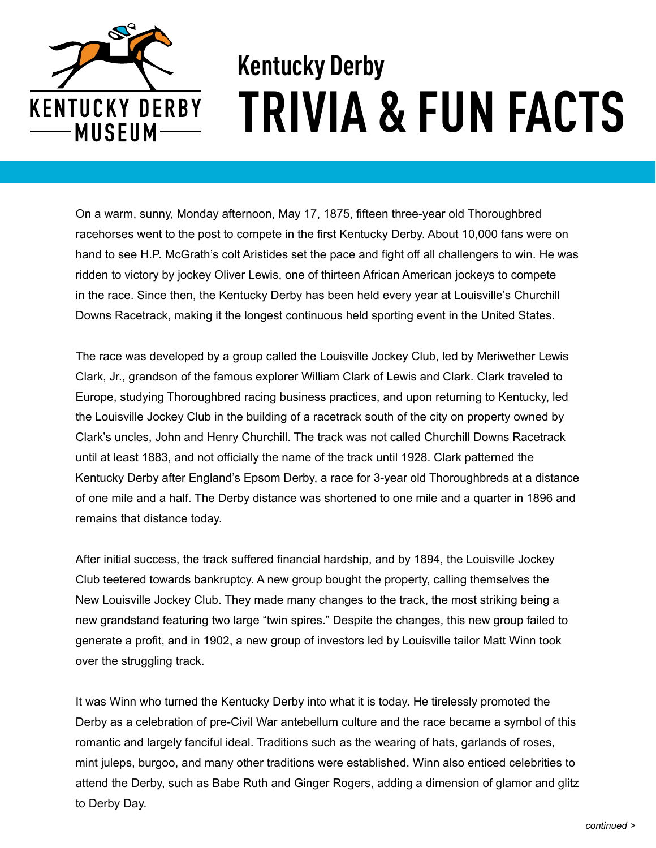

## **Kentucky Derby TRIVIA & FUN FACTS**

On a warm, sunny, Monday afternoon, May 17, 1875, fifteen three-year old Thoroughbred racehorses went to the post to compete in the first Kentucky Derby. About 10,000 fans were on hand to see H.P. McGrath's colt Aristides set the pace and fight off all challengers to win. He was ridden to victory by jockey Oliver Lewis, one of thirteen African American jockeys to compete in the race. Since then, the Kentucky Derby has been held every year at Louisville's Churchill Downs Racetrack, making it the longest continuous held sporting event in the United States.

The race was developed by a group called the Louisville Jockey Club, led by Meriwether Lewis Clark, Jr., grandson of the famous explorer William Clark of Lewis and Clark. Clark traveled to Europe, studying Thoroughbred racing business practices, and upon returning to Kentucky, led the Louisville Jockey Club in the building of a racetrack south of the city on property owned by Clark's uncles, John and Henry Churchill. The track was not called Churchill Downs Racetrack until at least 1883, and not officially the name of the track until 1928. Clark patterned the Kentucky Derby after England's Epsom Derby, a race for 3-year old Thoroughbreds at a distance of one mile and a half. The Derby distance was shortened to one mile and a quarter in 1896 and remains that distance today.

After initial success, the track suffered financial hardship, and by 1894, the Louisville Jockey Club teetered towards bankruptcy. A new group bought the property, calling themselves the New Louisville Jockey Club. They made many changes to the track, the most striking being a new grandstand featuring two large "twin spires." Despite the changes, this new group failed to generate a profit, and in 1902, a new group of investors led by Louisville tailor Matt Winn took over the struggling track.

It was Winn who turned the Kentucky Derby into what it is today. He tirelessly promoted the Derby as a celebration of pre-Civil War antebellum culture and the race became a symbol of this romantic and largely fanciful ideal. Traditions such as the wearing of hats, garlands of roses, mint juleps, burgoo, and many other traditions were established. Winn also enticed celebrities to attend the Derby, such as Babe Ruth and Ginger Rogers, adding a dimension of glamor and glitz to Derby Day.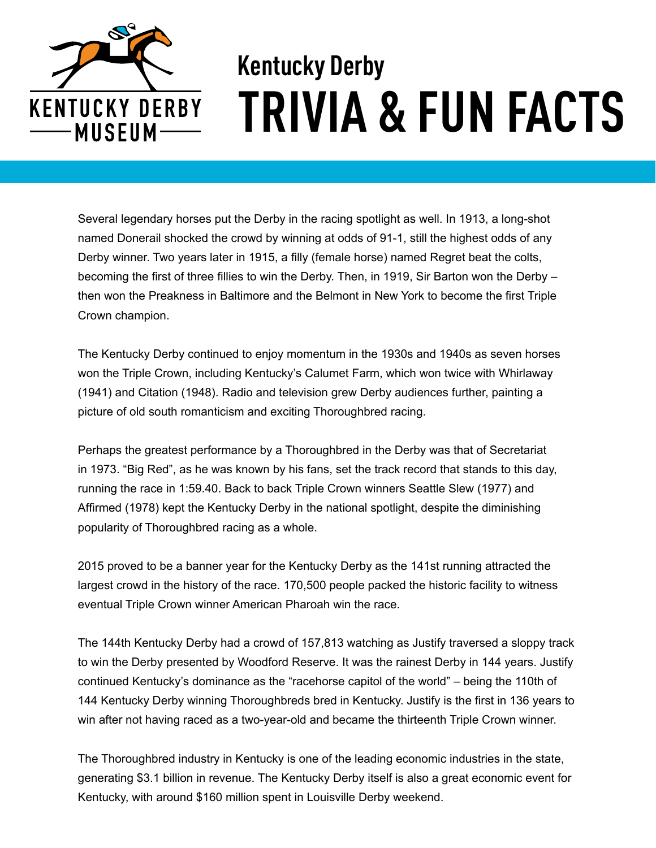

## **Kentucky Derby TRIVIA & FUN FACTS**

Several legendary horses put the Derby in the racing spotlight as well. In 1913, a long-shot named Donerail shocked the crowd by winning at odds of 91-1, still the highest odds of any Derby winner. Two years later in 1915, a filly (female horse) named Regret beat the colts, becoming the first of three fillies to win the Derby. Then, in 1919, Sir Barton won the Derby – then won the Preakness in Baltimore and the Belmont in New York to become the first Triple Crown champion.

The Kentucky Derby continued to enjoy momentum in the 1930s and 1940s as seven horses won the Triple Crown, including Kentucky's Calumet Farm, which won twice with Whirlaway (1941) and Citation (1948). Radio and television grew Derby audiences further, painting a picture of old south romanticism and exciting Thoroughbred racing.

Perhaps the greatest performance by a Thoroughbred in the Derby was that of Secretariat in 1973. "Big Red", as he was known by his fans, set the track record that stands to this day, running the race in 1:59.40. Back to back Triple Crown winners Seattle Slew (1977) and Affirmed (1978) kept the Kentucky Derby in the national spotlight, despite the diminishing popularity of Thoroughbred racing as a whole.

2015 proved to be a banner year for the Kentucky Derby as the 141st running attracted the largest crowd in the history of the race. 170,500 people packed the historic facility to witness eventual Triple Crown winner American Pharoah win the race.

The 144th Kentucky Derby had a crowd of 157,813 watching as Justify traversed a sloppy track to win the Derby presented by Woodford Reserve. It was the rainest Derby in 144 years. Justify continued Kentucky's dominance as the "racehorse capitol of the world" – being the 110th of 144 Kentucky Derby winning Thoroughbreds bred in Kentucky. Justify is the first in 136 years to win after not having raced as a two-year-old and became the thirteenth Triple Crown winner.

The Thoroughbred industry in Kentucky is one of the leading economic industries in the state, generating \$3.1 billion in revenue. The Kentucky Derby itself is also a great economic event for Kentucky, with around \$160 million spent in Louisville Derby weekend.